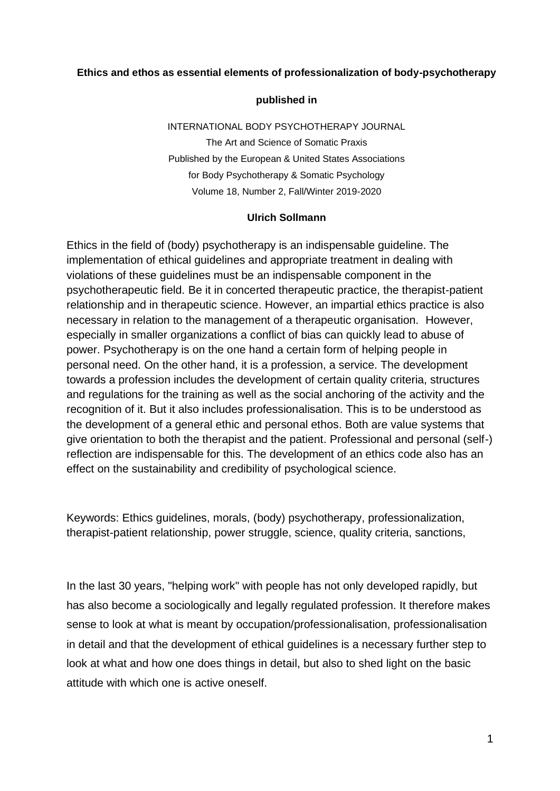#### **Ethics and ethos as essential elements of professionalization of body-psychotherapy**

#### **published in**

INTERNATIONAL BODY PSYCHOTHERAPY JOURNAL The Art and Science of Somatic Praxis Published by the European & United States Associations for Body Psychotherapy & Somatic Psychology Volume 18, Number 2, Fall/Winter 2019-2020

#### **Ulrich Sollmann**

Ethics in the field of (body) psychotherapy is an indispensable guideline. The implementation of ethical guidelines and appropriate treatment in dealing with violations of these guidelines must be an indispensable component in the psychotherapeutic field. Be it in concerted therapeutic practice, the therapist-patient relationship and in therapeutic science. However, an impartial ethics practice is also necessary in relation to the management of a therapeutic organisation. However, especially in smaller organizations a conflict of bias can quickly lead to abuse of power. Psychotherapy is on the one hand a certain form of helping people in personal need. On the other hand, it is a profession, a service. The development towards a profession includes the development of certain quality criteria, structures and regulations for the training as well as the social anchoring of the activity and the recognition of it. But it also includes professionalisation. This is to be understood as the development of a general ethic and personal ethos. Both are value systems that give orientation to both the therapist and the patient. Professional and personal (self-) reflection are indispensable for this. The development of an ethics code also has an effect on the sustainability and credibility of psychological science.

Keywords: Ethics guidelines, morals, (body) psychotherapy, professionalization, therapist-patient relationship, power struggle, science, quality criteria, sanctions,

In the last 30 years, "helping work" with people has not only developed rapidly, but has also become a sociologically and legally regulated profession. It therefore makes sense to look at what is meant by occupation/professionalisation, professionalisation in detail and that the development of ethical guidelines is a necessary further step to look at what and how one does things in detail, but also to shed light on the basic attitude with which one is active oneself.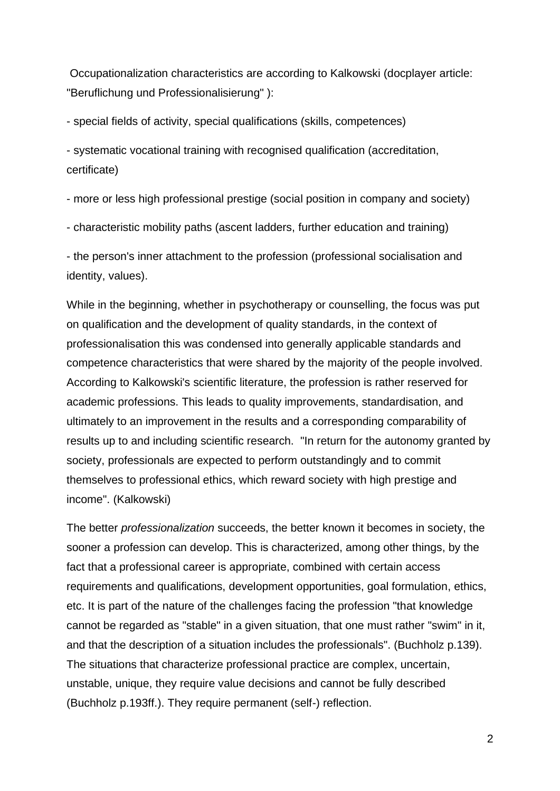Occupationalization characteristics are according to Kalkowski (docplayer article: "Beruflichung und Professionalisierung" ):

- special fields of activity, special qualifications (skills, competences)

- systematic vocational training with recognised qualification (accreditation, certificate)

- more or less high professional prestige (social position in company and society)

- characteristic mobility paths (ascent ladders, further education and training)

- the person's inner attachment to the profession (professional socialisation and identity, values).

While in the beginning, whether in psychotherapy or counselling, the focus was put on qualification and the development of quality standards, in the context of professionalisation this was condensed into generally applicable standards and competence characteristics that were shared by the majority of the people involved. According to Kalkowski's scientific literature, the profession is rather reserved for academic professions. This leads to quality improvements, standardisation, and ultimately to an improvement in the results and a corresponding comparability of results up to and including scientific research. "In return for the autonomy granted by society, professionals are expected to perform outstandingly and to commit themselves to professional ethics, which reward society with high prestige and income". (Kalkowski)

The better *professionalization* succeeds, the better known it becomes in society, the sooner a profession can develop. This is characterized, among other things, by the fact that a professional career is appropriate, combined with certain access requirements and qualifications, development opportunities, goal formulation, ethics, etc. It is part of the nature of the challenges facing the profession "that knowledge cannot be regarded as "stable" in a given situation, that one must rather "swim" in it, and that the description of a situation includes the professionals". (Buchholz p.139). The situations that characterize professional practice are complex, uncertain, unstable, unique, they require value decisions and cannot be fully described (Buchholz p.193ff.). They require permanent (self-) reflection.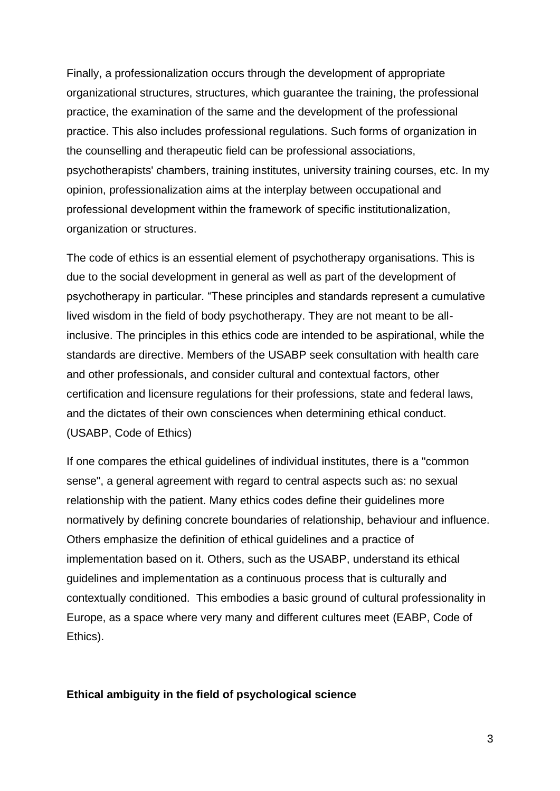Finally, a professionalization occurs through the development of appropriate organizational structures, structures, which guarantee the training, the professional practice, the examination of the same and the development of the professional practice. This also includes professional regulations. Such forms of organization in the counselling and therapeutic field can be professional associations, psychotherapists' chambers, training institutes, university training courses, etc. In my opinion, professionalization aims at the interplay between occupational and professional development within the framework of specific institutionalization, organization or structures.

The code of ethics is an essential element of psychotherapy organisations. This is due to the social development in general as well as part of the development of psychotherapy in particular. "These principles and standards represent a cumulative lived wisdom in the field of body psychotherapy. They are not meant to be allinclusive. The principles in this ethics code are intended to be aspirational, while the standards are directive. Members of the USABP seek consultation with health care and other professionals, and consider cultural and contextual factors, other certification and licensure regulations for their professions, state and federal laws, and the dictates of their own consciences when determining ethical conduct. (USABP, Code of Ethics)

If one compares the ethical guidelines of individual institutes, there is a "common sense", a general agreement with regard to central aspects such as: no sexual relationship with the patient. Many ethics codes define their guidelines more normatively by defining concrete boundaries of relationship, behaviour and influence. Others emphasize the definition of ethical guidelines and a practice of implementation based on it. Others, such as the USABP, understand its ethical guidelines and implementation as a continuous process that is culturally and contextually conditioned. This embodies a basic ground of cultural professionality in Europe, as a space where very many and different cultures meet (EABP, Code of Ethics).

#### **Ethical ambiguity in the field of psychological science**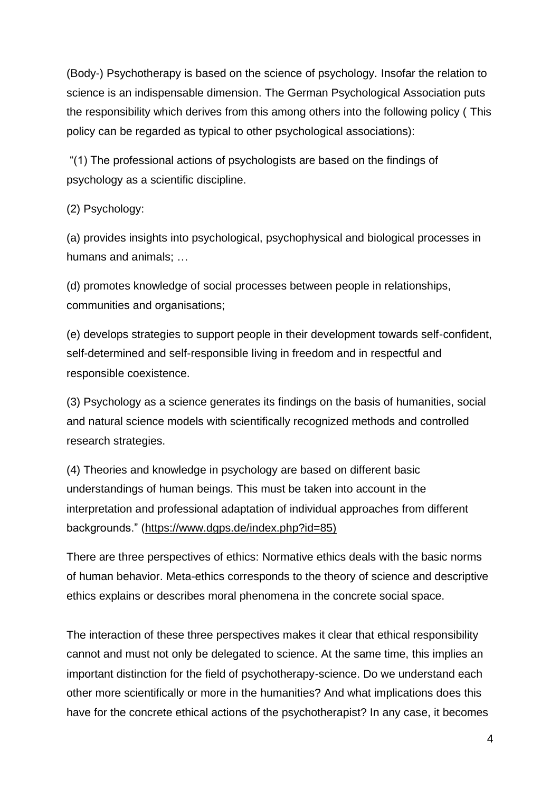(Body-) Psychotherapy is based on the science of psychology. Insofar the relation to science is an indispensable dimension. The German Psychological Association puts the responsibility which derives from this among others into the following policy ( This policy can be regarded as typical to other psychological associations):

"(1) The professional actions of psychologists are based on the findings of psychology as a scientific discipline.

### (2) Psychology:

(a) provides insights into psychological, psychophysical and biological processes in humans and animals; …

(d) promotes knowledge of social processes between people in relationships, communities and organisations;

(e) develops strategies to support people in their development towards self-confident, self-determined and self-responsible living in freedom and in respectful and responsible coexistence.

(3) Psychology as a science generates its findings on the basis of humanities, social and natural science models with scientifically recognized methods and controlled research strategies.

(4) Theories and knowledge in psychology are based on different basic understandings of human beings. This must be taken into account in the interpretation and professional adaptation of individual approaches from different backgrounds." [\(https://www.dgps.de/index.php?id=85\)](https://www.dgps.de/index.php?id=85)

There are three perspectives of ethics: Normative ethics deals with the basic norms of human behavior. Meta-ethics corresponds to the theory of science and descriptive ethics explains or describes moral phenomena in the concrete social space.

The interaction of these three perspectives makes it clear that ethical responsibility cannot and must not only be delegated to science. At the same time, this implies an important distinction for the field of psychotherapy-science. Do we understand each other more scientifically or more in the humanities? And what implications does this have for the concrete ethical actions of the psychotherapist? In any case, it becomes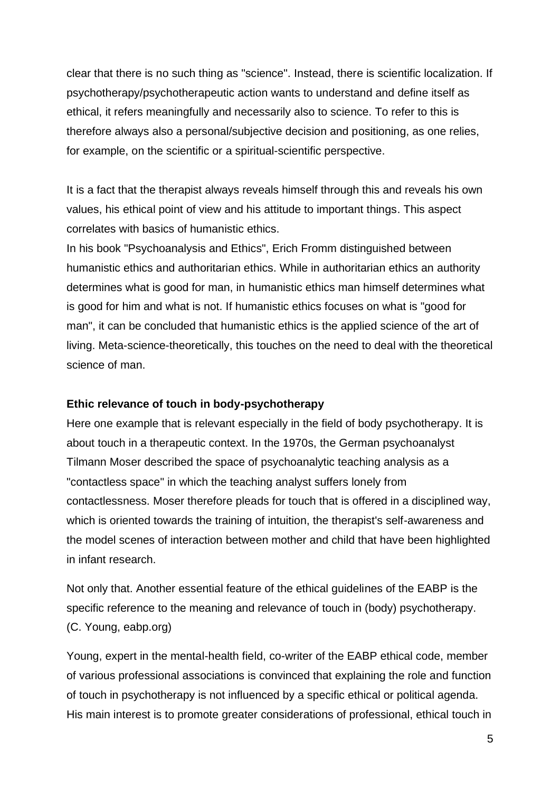clear that there is no such thing as "science". Instead, there is scientific localization. If psychotherapy/psychotherapeutic action wants to understand and define itself as ethical, it refers meaningfully and necessarily also to science. To refer to this is therefore always also a personal/subjective decision and positioning, as one relies, for example, on the scientific or a spiritual-scientific perspective.

It is a fact that the therapist always reveals himself through this and reveals his own values, his ethical point of view and his attitude to important things. This aspect correlates with basics of humanistic ethics.

In his book "Psychoanalysis and Ethics", Erich Fromm distinguished between humanistic ethics and authoritarian ethics. While in authoritarian ethics an authority determines what is good for man, in humanistic ethics man himself determines what is good for him and what is not. If humanistic ethics focuses on what is "good for man", it can be concluded that humanistic ethics is the applied science of the art of living. Meta-science-theoretically, this touches on the need to deal with the theoretical science of man.

#### **Ethic relevance of touch in body-psychotherapy**

Here one example that is relevant especially in the field of body psychotherapy. It is about touch in a therapeutic context. In the 1970s, the German psychoanalyst Tilmann Moser described the space of psychoanalytic teaching analysis as a "contactless space" in which the teaching analyst suffers lonely from contactlessness. Moser therefore pleads for touch that is offered in a disciplined way, which is oriented towards the training of intuition, the therapist's self-awareness and the model scenes of interaction between mother and child that have been highlighted in infant research.

Not only that. Another essential feature of the ethical guidelines of the EABP is the specific reference to the meaning and relevance of touch in (body) psychotherapy. (C. Young, eabp.org)

Young, expert in the mental-health field, co-writer of the EABP ethical code, member of various professional associations is convinced that explaining the role and function of touch in psychotherapy is not influenced by a specific ethical or political agenda. His main interest is to promote greater considerations of professional, ethical touch in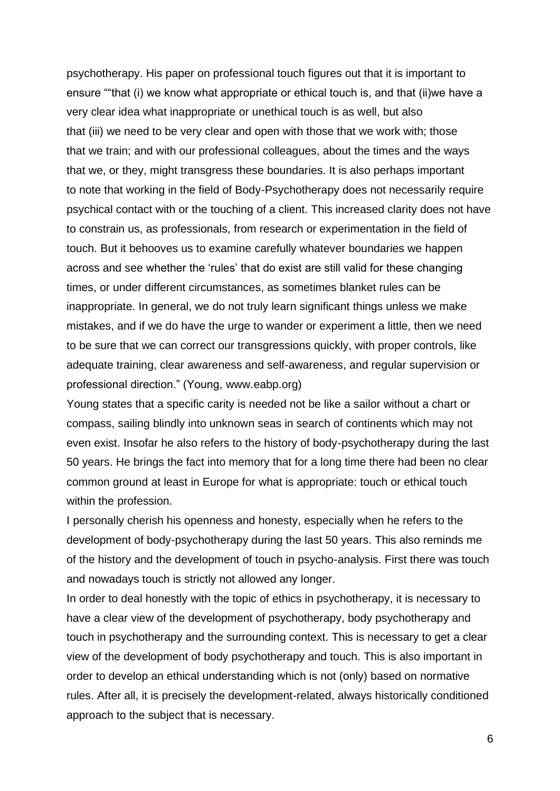psychotherapy. His paper on professional touch figures out that it is important to ensure ""that (i) we know what appropriate or ethical touch is, and that (ii)we have a very clear idea what inappropriate or unethical touch is as well, but also that (iii) we need to be very clear and open with those that we work with; those that we train; and with our professional colleagues, about the times and the ways that we, or they, might transgress these boundaries. It is also perhaps important to note that working in the field of Body-Psychotherapy does not necessarily require psychical contact with or the touching of a client. This increased clarity does not have to constrain us, as professionals, from research or experimentation in the field of touch. But it behooves us to examine carefully whatever boundaries we happen across and see whether the 'rules' that do exist are still valid for these changing times, or under different circumstances, as sometimes blanket rules can be inappropriate. In general, we do not truly learn significant things unless we make mistakes, and if we do have the urge to wander or experiment a little, then we need to be sure that we can correct our transgressions quickly, with proper controls, like adequate training, clear awareness and self-awareness, and regular supervision or professional direction." (Young, www.eabp.org)

Young states that a specific carity is needed not be like a sailor without a chart or compass, sailing blindly into unknown seas in search of continents which may not even exist. Insofar he also refers to the history of body-psychotherapy during the last 50 years. He brings the fact into memory that for a long time there had been no clear common ground at least in Europe for what is appropriate: touch or ethical touch within the profession.

I personally cherish his openness and honesty, especially when he refers to the development of body-psychotherapy during the last 50 years. This also reminds me of the history and the development of touch in psycho-analysis. First there was touch and nowadays touch is strictly not allowed any longer.

In order to deal honestly with the topic of ethics in psychotherapy, it is necessary to have a clear view of the development of psychotherapy, body psychotherapy and touch in psychotherapy and the surrounding context. This is necessary to get a clear view of the development of body psychotherapy and touch. This is also important in order to develop an ethical understanding which is not (only) based on normative rules. After all, it is precisely the development-related, always historically conditioned approach to the subject that is necessary.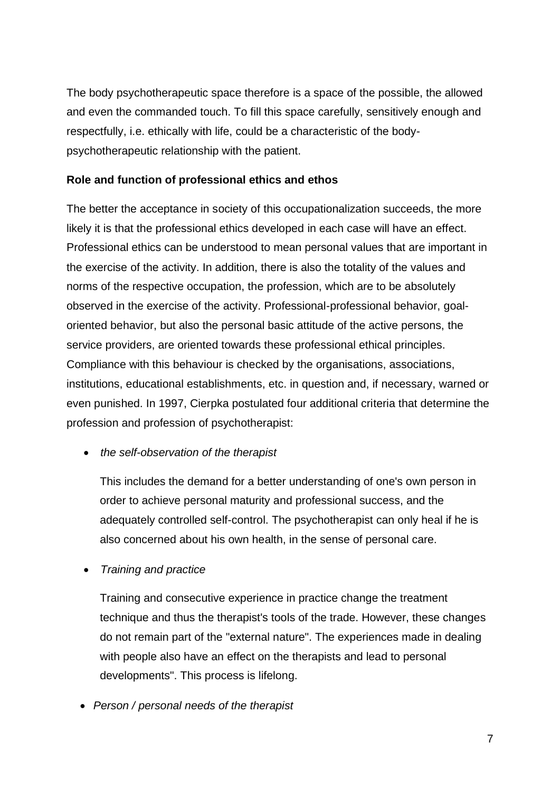The body psychotherapeutic space therefore is a space of the possible, the allowed and even the commanded touch. To fill this space carefully, sensitively enough and respectfully, i.e. ethically with life, could be a characteristic of the bodypsychotherapeutic relationship with the patient.

# **Role and function of professional ethics and ethos**

The better the acceptance in society of this occupationalization succeeds, the more likely it is that the professional ethics developed in each case will have an effect. Professional ethics can be understood to mean personal values that are important in the exercise of the activity. In addition, there is also the totality of the values and norms of the respective occupation, the profession, which are to be absolutely observed in the exercise of the activity. Professional-professional behavior, goaloriented behavior, but also the personal basic attitude of the active persons, the service providers, are oriented towards these professional ethical principles. Compliance with this behaviour is checked by the organisations, associations, institutions, educational establishments, etc. in question and, if necessary, warned or even punished. In 1997, Cierpka postulated four additional criteria that determine the profession and profession of psychotherapist:

• *the self-observation of the therapist*

This includes the demand for a better understanding of one's own person in order to achieve personal maturity and professional success, and the adequately controlled self-control. The psychotherapist can only heal if he is also concerned about his own health, in the sense of personal care.

• *Training and practice*

Training and consecutive experience in practice change the treatment technique and thus the therapist's tools of the trade. However, these changes do not remain part of the "external nature". The experiences made in dealing with people also have an effect on the therapists and lead to personal developments". This process is lifelong.

• *Person / personal needs of the therapist*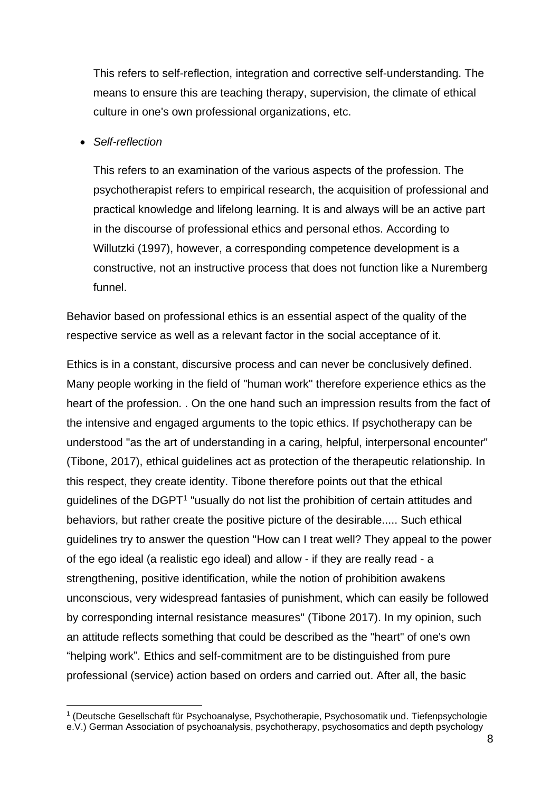This refers to self-reflection, integration and corrective self-understanding. The means to ensure this are teaching therapy, supervision, the climate of ethical culture in one's own professional organizations, etc.

#### • *Self-reflection*

This refers to an examination of the various aspects of the profession. The psychotherapist refers to empirical research, the acquisition of professional and practical knowledge and lifelong learning. It is and always will be an active part in the discourse of professional ethics and personal ethos. According to Willutzki (1997), however, a corresponding competence development is a constructive, not an instructive process that does not function like a Nuremberg funnel.

Behavior based on professional ethics is an essential aspect of the quality of the respective service as well as a relevant factor in the social acceptance of it.

Ethics is in a constant, discursive process and can never be conclusively defined. Many people working in the field of "human work" therefore experience ethics as the heart of the profession. . On the one hand such an impression results from the fact of the intensive and engaged arguments to the topic ethics. If psychotherapy can be understood "as the art of understanding in a caring, helpful, interpersonal encounter" (Tibone, 2017), ethical guidelines act as protection of the therapeutic relationship. In this respect, they create identity. Tibone therefore points out that the ethical guidelines of the DGPT<sup>1</sup> "usually do not list the prohibition of certain attitudes and behaviors, but rather create the positive picture of the desirable..... Such ethical guidelines try to answer the question "How can I treat well? They appeal to the power of the ego ideal (a realistic ego ideal) and allow - if they are really read - a strengthening, positive identification, while the notion of prohibition awakens unconscious, very widespread fantasies of punishment, which can easily be followed by corresponding internal resistance measures" (Tibone 2017). In my opinion, such an attitude reflects something that could be described as the "heart" of one's own "helping work". Ethics and self-commitment are to be distinguished from pure professional (service) action based on orders and carried out. After all, the basic

<sup>&</sup>lt;sup>1</sup> (Deutsche Gesellschaft für Psychoanalyse, Psychotherapie, Psychosomatik und. Tiefenpsychologie e.V.) German Association of psychoanalysis, psychotherapy, psychosomatics and depth psychology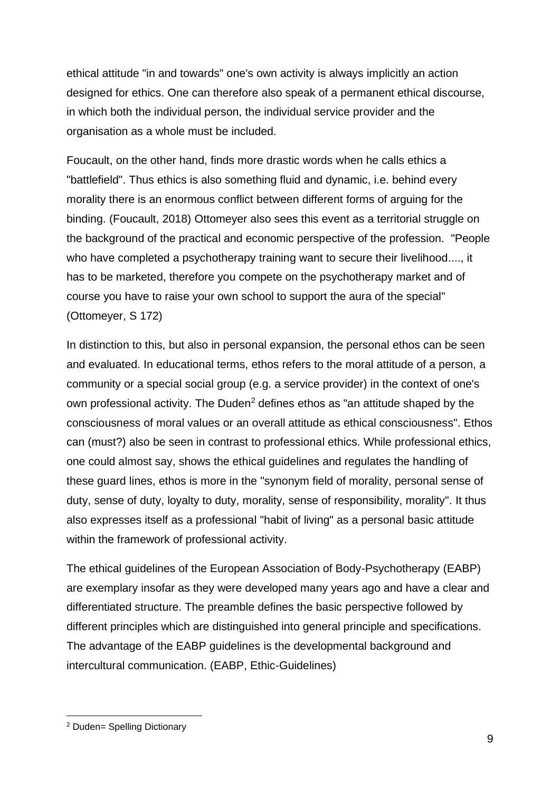ethical attitude "in and towards" one's own activity is always implicitly an action designed for ethics. One can therefore also speak of a permanent ethical discourse, in which both the individual person, the individual service provider and the organisation as a whole must be included.

Foucault, on the other hand, finds more drastic words when he calls ethics a "battlefield". Thus ethics is also something fluid and dynamic, i.e. behind every morality there is an enormous conflict between different forms of arguing for the binding. (Foucault, 2018) Ottomeyer also sees this event as a territorial struggle on the background of the practical and economic perspective of the profession. "People who have completed a psychotherapy training want to secure their livelihood...., it has to be marketed, therefore you compete on the psychotherapy market and of course you have to raise your own school to support the aura of the special" (Ottomeyer, S 172)

In distinction to this, but also in personal expansion, the personal ethos can be seen and evaluated. In educational terms, ethos refers to the moral attitude of a person, a community or a special social group (e.g. a service provider) in the context of one's own professional activity. The Duden<sup>2</sup> defines ethos as "an attitude shaped by the consciousness of moral values or an overall attitude as ethical consciousness". Ethos can (must?) also be seen in contrast to professional ethics. While professional ethics, one could almost say, shows the ethical guidelines and regulates the handling of these guard lines, ethos is more in the "synonym field of morality, personal sense of duty, sense of duty, loyalty to duty, morality, sense of responsibility, morality". It thus also expresses itself as a professional "habit of living" as a personal basic attitude within the framework of professional activity.

The ethical guidelines of the European Association of Body-Psychotherapy (EABP) are exemplary insofar as they were developed many years ago and have a clear and differentiated structure. The preamble defines the basic perspective followed by different principles which are distinguished into general principle and specifications. The advantage of the EABP guidelines is the developmental background and intercultural communication. (EABP, Ethic-Guidelines)

<sup>2</sup> Duden= Spelling Dictionary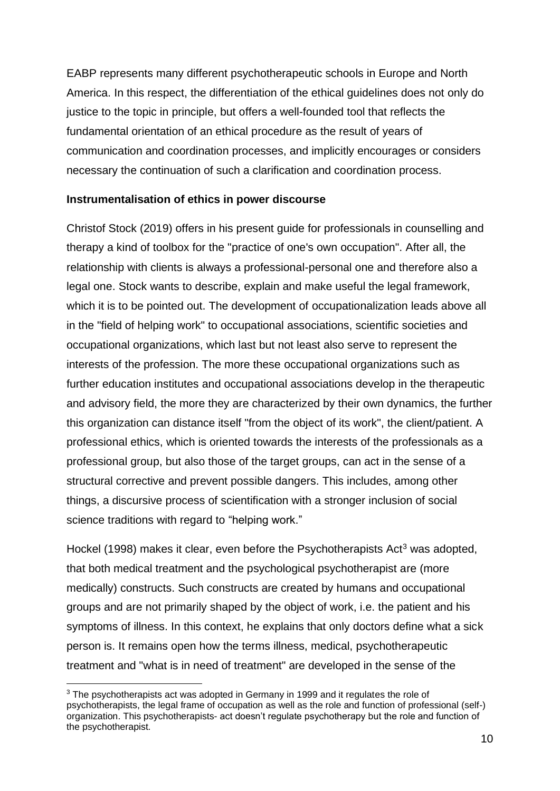EABP represents many different psychotherapeutic schools in Europe and North America. In this respect, the differentiation of the ethical guidelines does not only do justice to the topic in principle, but offers a well-founded tool that reflects the fundamental orientation of an ethical procedure as the result of years of communication and coordination processes, and implicitly encourages or considers necessary the continuation of such a clarification and coordination process.

#### **Instrumentalisation of ethics in power discourse**

Christof Stock (2019) offers in his present guide for professionals in counselling and therapy a kind of toolbox for the "practice of one's own occupation". After all, the relationship with clients is always a professional-personal one and therefore also a legal one. Stock wants to describe, explain and make useful the legal framework, which it is to be pointed out. The development of occupationalization leads above all in the "field of helping work" to occupational associations, scientific societies and occupational organizations, which last but not least also serve to represent the interests of the profession. The more these occupational organizations such as further education institutes and occupational associations develop in the therapeutic and advisory field, the more they are characterized by their own dynamics, the further this organization can distance itself "from the object of its work", the client/patient. A professional ethics, which is oriented towards the interests of the professionals as a professional group, but also those of the target groups, can act in the sense of a structural corrective and prevent possible dangers. This includes, among other things, a discursive process of scientification with a stronger inclusion of social science traditions with regard to "helping work."

Hockel (1998) makes it clear, even before the Psychotherapists  $Act<sup>3</sup>$  was adopted, that both medical treatment and the psychological psychotherapist are (more medically) constructs. Such constructs are created by humans and occupational groups and are not primarily shaped by the object of work, i.e. the patient and his symptoms of illness. In this context, he explains that only doctors define what a sick person is. It remains open how the terms illness, medical, psychotherapeutic treatment and "what is in need of treatment" are developed in the sense of the

<sup>&</sup>lt;sup>3</sup> The psychotherapists act was adopted in Germany in 1999 and it regulates the role of psychotherapists, the legal frame of occupation as well as the role and function of professional (self-) organization. This psychotherapists- act doesn't regulate psychotherapy but the role and function of the psychotherapist.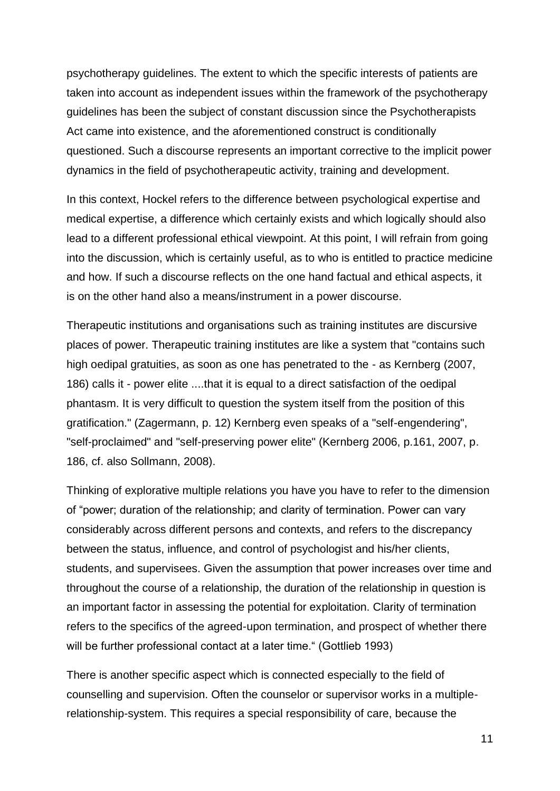psychotherapy guidelines. The extent to which the specific interests of patients are taken into account as independent issues within the framework of the psychotherapy guidelines has been the subject of constant discussion since the Psychotherapists Act came into existence, and the aforementioned construct is conditionally questioned. Such a discourse represents an important corrective to the implicit power dynamics in the field of psychotherapeutic activity, training and development.

In this context, Hockel refers to the difference between psychological expertise and medical expertise, a difference which certainly exists and which logically should also lead to a different professional ethical viewpoint. At this point, I will refrain from going into the discussion, which is certainly useful, as to who is entitled to practice medicine and how. If such a discourse reflects on the one hand factual and ethical aspects, it is on the other hand also a means/instrument in a power discourse.

Therapeutic institutions and organisations such as training institutes are discursive places of power. Therapeutic training institutes are like a system that "contains such high oedipal gratuities, as soon as one has penetrated to the - as Kernberg (2007, 186) calls it - power elite ....that it is equal to a direct satisfaction of the oedipal phantasm. It is very difficult to question the system itself from the position of this gratification." (Zagermann, p. 12) Kernberg even speaks of a "self-engendering", "self-proclaimed" and "self-preserving power elite" (Kernberg 2006, p.161, 2007, p. 186, cf. also Sollmann, 2008).

Thinking of explorative multiple relations you have you have to refer to the dimension of "power; duration of the relationship; and clarity of termination. Power can vary considerably across different persons and contexts, and refers to the discrepancy between the status, influence, and control of psychologist and his/her clients, students, and supervisees. Given the assumption that power increases over time and throughout the course of a relationship, the duration of the relationship in question is an important factor in assessing the potential for exploitation. Clarity of termination refers to the specifics of the agreed-upon termination, and prospect of whether there will be further professional contact at a later time." (Gottlieb 1993)

There is another specific aspect which is connected especially to the field of counselling and supervision. Often the counselor or supervisor works in a multiplerelationship-system. This requires a special responsibility of care, because the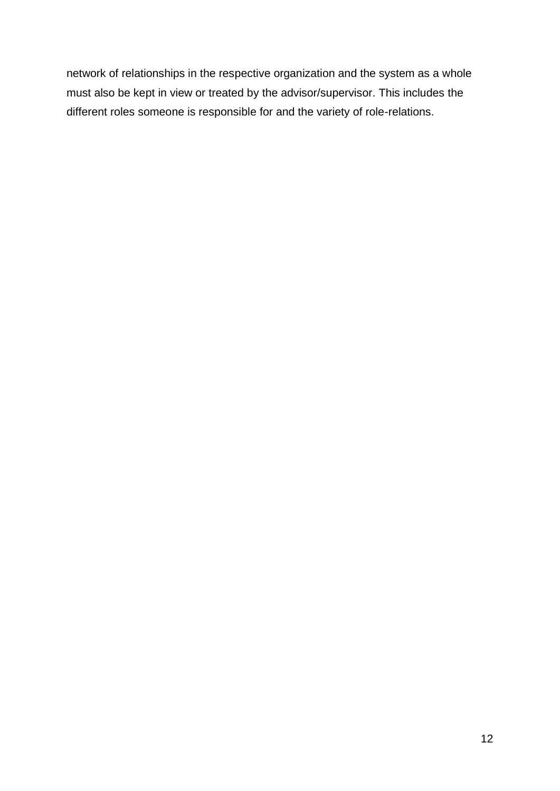network of relationships in the respective organization and the system as a whole must also be kept in view or treated by the advisor/supervisor. This includes the different roles someone is responsible for and the variety of role-relations.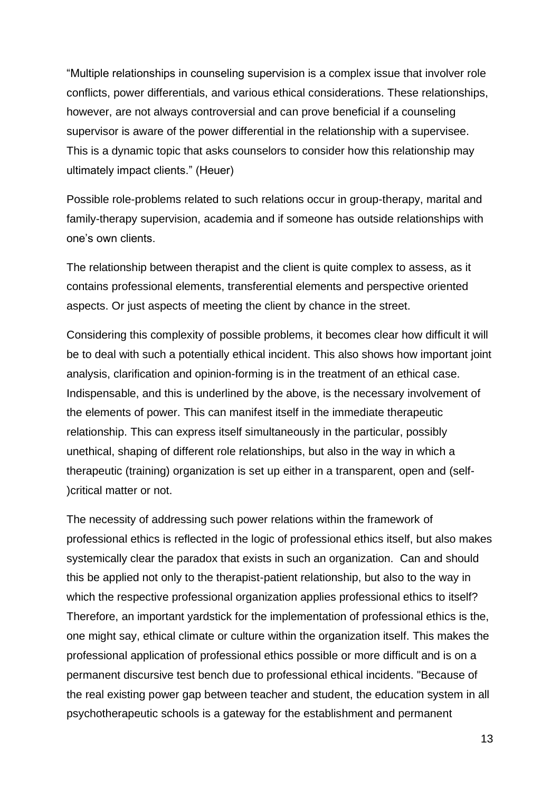"Multiple relationships in counseling supervision is a complex issue that involver role conflicts, power differentials, and various ethical considerations. These relationships, however, are not always controversial and can prove beneficial if a counseling supervisor is aware of the power differential in the relationship with a supervisee. This is a dynamic topic that asks counselors to consider how this relationship may ultimately impact clients." (Heuer)

Possible role-problems related to such relations occur in group-therapy, marital and family-therapy supervision, academia and if someone has outside relationships with one's own clients.

The relationship between therapist and the client is quite complex to assess, as it contains professional elements, transferential elements and perspective oriented aspects. Or just aspects of meeting the client by chance in the street.

Considering this complexity of possible problems, it becomes clear how difficult it will be to deal with such a potentially ethical incident. This also shows how important joint analysis, clarification and opinion-forming is in the treatment of an ethical case. Indispensable, and this is underlined by the above, is the necessary involvement of the elements of power. This can manifest itself in the immediate therapeutic relationship. This can express itself simultaneously in the particular, possibly unethical, shaping of different role relationships, but also in the way in which a therapeutic (training) organization is set up either in a transparent, open and (self- )critical matter or not.

The necessity of addressing such power relations within the framework of professional ethics is reflected in the logic of professional ethics itself, but also makes systemically clear the paradox that exists in such an organization. Can and should this be applied not only to the therapist-patient relationship, but also to the way in which the respective professional organization applies professional ethics to itself? Therefore, an important yardstick for the implementation of professional ethics is the, one might say, ethical climate or culture within the organization itself. This makes the professional application of professional ethics possible or more difficult and is on a permanent discursive test bench due to professional ethical incidents. "Because of the real existing power gap between teacher and student, the education system in all psychotherapeutic schools is a gateway for the establishment and permanent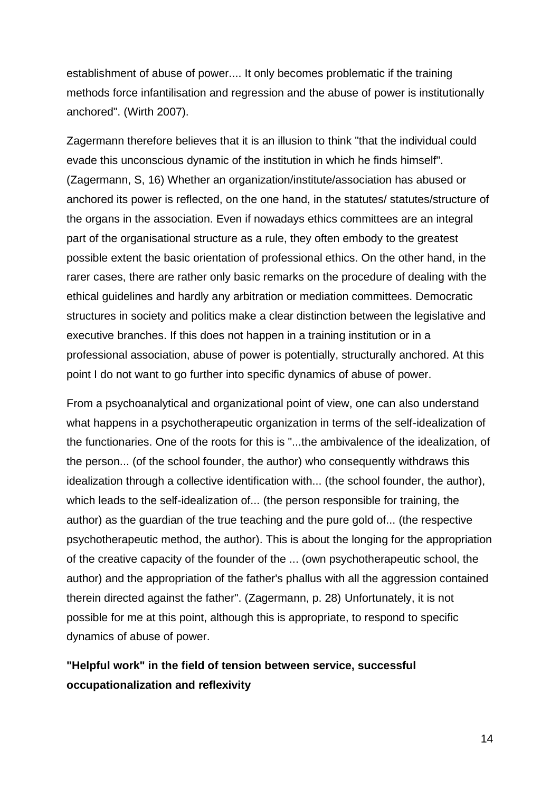establishment of abuse of power.... It only becomes problematic if the training methods force infantilisation and regression and the abuse of power is institutionally anchored". (Wirth 2007).

Zagermann therefore believes that it is an illusion to think "that the individual could evade this unconscious dynamic of the institution in which he finds himself". (Zagermann, S, 16) Whether an organization/institute/association has abused or anchored its power is reflected, on the one hand, in the statutes/ statutes/structure of the organs in the association. Even if nowadays ethics committees are an integral part of the organisational structure as a rule, they often embody to the greatest possible extent the basic orientation of professional ethics. On the other hand, in the rarer cases, there are rather only basic remarks on the procedure of dealing with the ethical guidelines and hardly any arbitration or mediation committees. Democratic structures in society and politics make a clear distinction between the legislative and executive branches. If this does not happen in a training institution or in a professional association, abuse of power is potentially, structurally anchored. At this point I do not want to go further into specific dynamics of abuse of power.

From a psychoanalytical and organizational point of view, one can also understand what happens in a psychotherapeutic organization in terms of the self-idealization of the functionaries. One of the roots for this is "...the ambivalence of the idealization, of the person... (of the school founder, the author) who consequently withdraws this idealization through a collective identification with... (the school founder, the author), which leads to the self-idealization of... (the person responsible for training, the author) as the guardian of the true teaching and the pure gold of... (the respective psychotherapeutic method, the author). This is about the longing for the appropriation of the creative capacity of the founder of the ... (own psychotherapeutic school, the author) and the appropriation of the father's phallus with all the aggression contained therein directed against the father". (Zagermann, p. 28) Unfortunately, it is not possible for me at this point, although this is appropriate, to respond to specific dynamics of abuse of power.

# **"Helpful work" in the field of tension between service, successful occupationalization and reflexivity**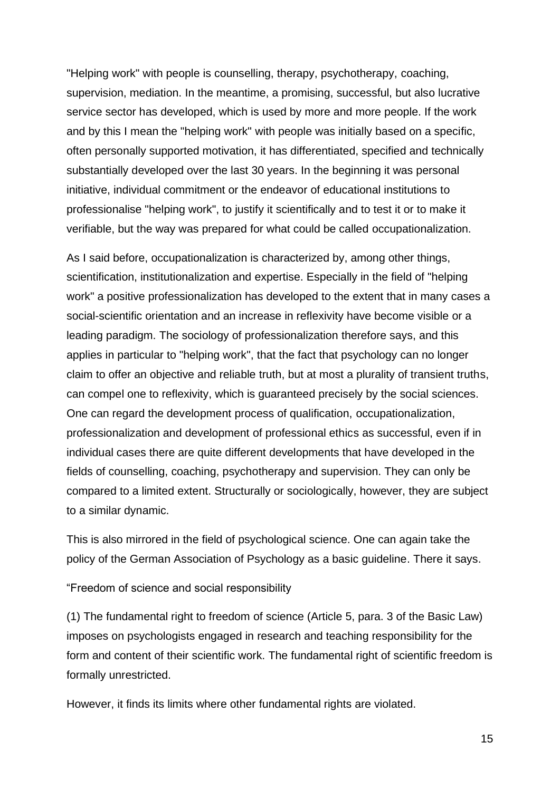"Helping work" with people is counselling, therapy, psychotherapy, coaching, supervision, mediation. In the meantime, a promising, successful, but also lucrative service sector has developed, which is used by more and more people. If the work and by this I mean the "helping work" with people was initially based on a specific, often personally supported motivation, it has differentiated, specified and technically substantially developed over the last 30 years. In the beginning it was personal initiative, individual commitment or the endeavor of educational institutions to professionalise "helping work", to justify it scientifically and to test it or to make it verifiable, but the way was prepared for what could be called occupationalization.

As I said before, occupationalization is characterized by, among other things, scientification, institutionalization and expertise. Especially in the field of "helping work" a positive professionalization has developed to the extent that in many cases a social-scientific orientation and an increase in reflexivity have become visible or a leading paradigm. The sociology of professionalization therefore says, and this applies in particular to "helping work", that the fact that psychology can no longer claim to offer an objective and reliable truth, but at most a plurality of transient truths, can compel one to reflexivity, which is guaranteed precisely by the social sciences. One can regard the development process of qualification, occupationalization, professionalization and development of professional ethics as successful, even if in individual cases there are quite different developments that have developed in the fields of counselling, coaching, psychotherapy and supervision. They can only be compared to a limited extent. Structurally or sociologically, however, they are subject to a similar dynamic.

This is also mirrored in the field of psychological science. One can again take the policy of the German Association of Psychology as a basic guideline. There it says.

"Freedom of science and social responsibility

(1) The fundamental right to freedom of science (Article 5, para. 3 of the Basic Law) imposes on psychologists engaged in research and teaching responsibility for the form and content of their scientific work. The fundamental right of scientific freedom is formally unrestricted.

However, it finds its limits where other fundamental rights are violated.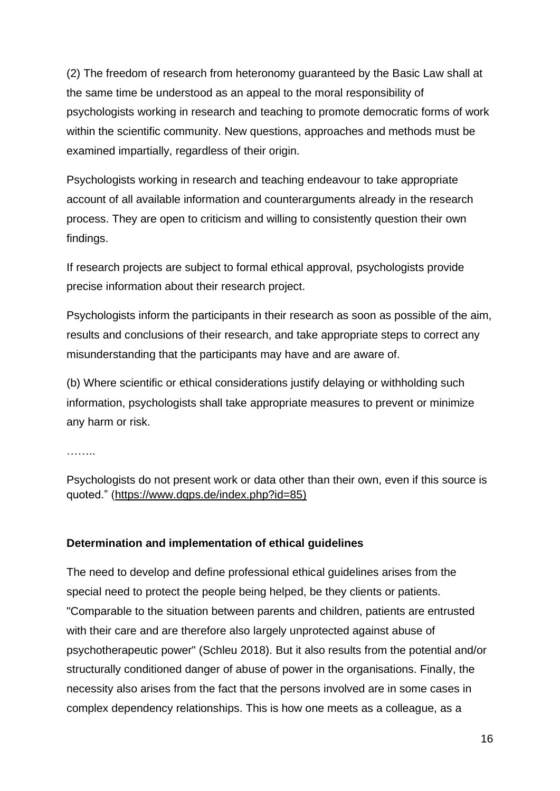(2) The freedom of research from heteronomy guaranteed by the Basic Law shall at the same time be understood as an appeal to the moral responsibility of psychologists working in research and teaching to promote democratic forms of work within the scientific community. New questions, approaches and methods must be examined impartially, regardless of their origin.

Psychologists working in research and teaching endeavour to take appropriate account of all available information and counterarguments already in the research process. They are open to criticism and willing to consistently question their own findings.

If research projects are subject to formal ethical approval, psychologists provide precise information about their research project.

Psychologists inform the participants in their research as soon as possible of the aim, results and conclusions of their research, and take appropriate steps to correct any misunderstanding that the participants may have and are aware of.

(b) Where scientific or ethical considerations justify delaying or withholding such information, psychologists shall take appropriate measures to prevent or minimize any harm or risk.

. . . . . . . .

Psychologists do not present work or data other than their own, even if this source is quoted." [\(https://www.dgps.de/index.php?id=85\)](https://www.dgps.de/index.php?id=85)

### **Determination and implementation of ethical guidelines**

The need to develop and define professional ethical guidelines arises from the special need to protect the people being helped, be they clients or patients. "Comparable to the situation between parents and children, patients are entrusted with their care and are therefore also largely unprotected against abuse of psychotherapeutic power" (Schleu 2018). But it also results from the potential and/or structurally conditioned danger of abuse of power in the organisations. Finally, the necessity also arises from the fact that the persons involved are in some cases in complex dependency relationships. This is how one meets as a colleague, as a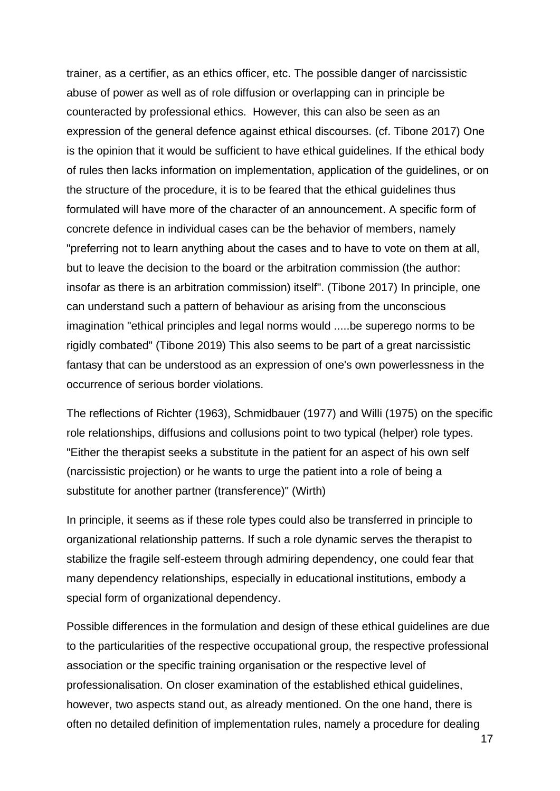trainer, as a certifier, as an ethics officer, etc. The possible danger of narcissistic abuse of power as well as of role diffusion or overlapping can in principle be counteracted by professional ethics. However, this can also be seen as an expression of the general defence against ethical discourses. (cf. Tibone 2017) One is the opinion that it would be sufficient to have ethical guidelines. If the ethical body of rules then lacks information on implementation, application of the guidelines, or on the structure of the procedure, it is to be feared that the ethical guidelines thus formulated will have more of the character of an announcement. A specific form of concrete defence in individual cases can be the behavior of members, namely "preferring not to learn anything about the cases and to have to vote on them at all, but to leave the decision to the board or the arbitration commission (the author: insofar as there is an arbitration commission) itself". (Tibone 2017) In principle, one can understand such a pattern of behaviour as arising from the unconscious imagination "ethical principles and legal norms would .....be superego norms to be rigidly combated" (Tibone 2019) This also seems to be part of a great narcissistic fantasy that can be understood as an expression of one's own powerlessness in the occurrence of serious border violations.

The reflections of Richter (1963), Schmidbauer (1977) and Willi (1975) on the specific role relationships, diffusions and collusions point to two typical (helper) role types. "Either the therapist seeks a substitute in the patient for an aspect of his own self (narcissistic projection) or he wants to urge the patient into a role of being a substitute for another partner (transference)" (Wirth)

In principle, it seems as if these role types could also be transferred in principle to organizational relationship patterns. If such a role dynamic serves the therapist to stabilize the fragile self-esteem through admiring dependency, one could fear that many dependency relationships, especially in educational institutions, embody a special form of organizational dependency.

Possible differences in the formulation and design of these ethical guidelines are due to the particularities of the respective occupational group, the respective professional association or the specific training organisation or the respective level of professionalisation. On closer examination of the established ethical guidelines, however, two aspects stand out, as already mentioned. On the one hand, there is often no detailed definition of implementation rules, namely a procedure for dealing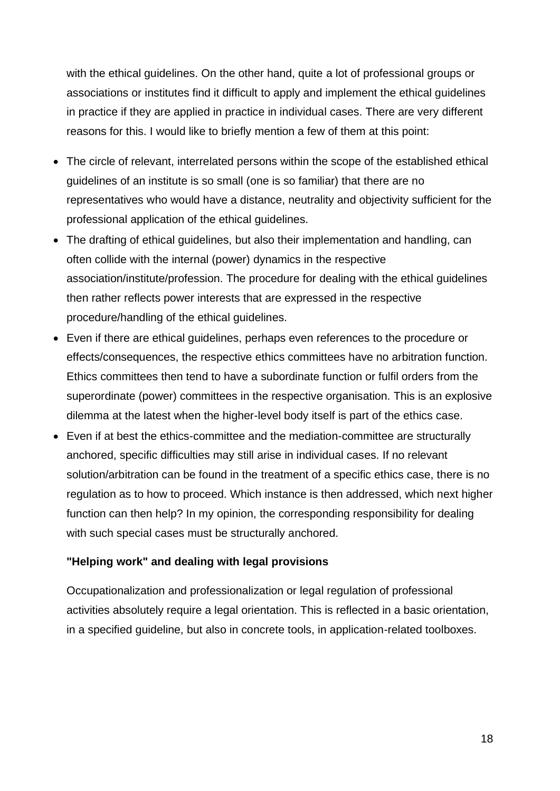with the ethical guidelines. On the other hand, quite a lot of professional groups or associations or institutes find it difficult to apply and implement the ethical guidelines in practice if they are applied in practice in individual cases. There are very different reasons for this. I would like to briefly mention a few of them at this point:

- The circle of relevant, interrelated persons within the scope of the established ethical guidelines of an institute is so small (one is so familiar) that there are no representatives who would have a distance, neutrality and objectivity sufficient for the professional application of the ethical guidelines.
- The drafting of ethical guidelines, but also their implementation and handling, can often collide with the internal (power) dynamics in the respective association/institute/profession. The procedure for dealing with the ethical guidelines then rather reflects power interests that are expressed in the respective procedure/handling of the ethical guidelines.
- Even if there are ethical guidelines, perhaps even references to the procedure or effects/consequences, the respective ethics committees have no arbitration function. Ethics committees then tend to have a subordinate function or fulfil orders from the superordinate (power) committees in the respective organisation. This is an explosive dilemma at the latest when the higher-level body itself is part of the ethics case.
- Even if at best the ethics-committee and the mediation-committee are structurally anchored, specific difficulties may still arise in individual cases. If no relevant solution/arbitration can be found in the treatment of a specific ethics case, there is no regulation as to how to proceed. Which instance is then addressed, which next higher function can then help? In my opinion, the corresponding responsibility for dealing with such special cases must be structurally anchored.

### **"Helping work" and dealing with legal provisions**

Occupationalization and professionalization or legal regulation of professional activities absolutely require a legal orientation. This is reflected in a basic orientation, in a specified guideline, but also in concrete tools, in application-related toolboxes.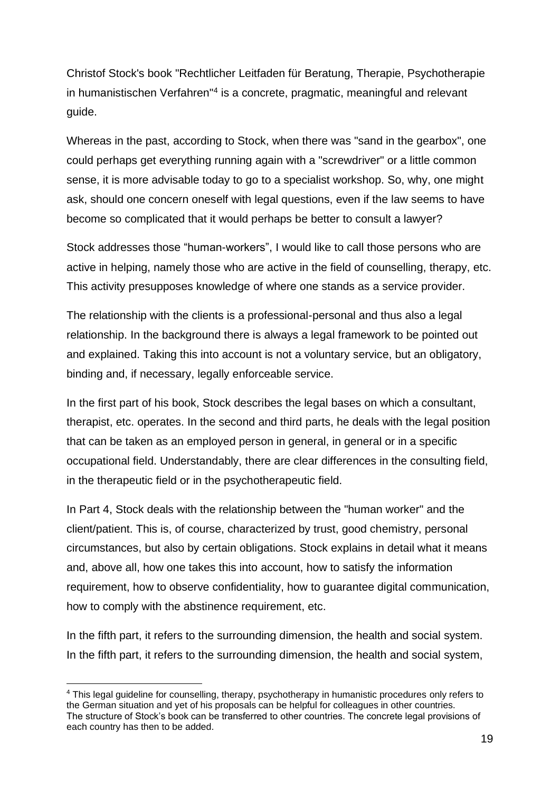Christof Stock's book "Rechtlicher Leitfaden für Beratung, Therapie, Psychotherapie in humanistischen Verfahren"<sup>4</sup> is a concrete, pragmatic, meaningful and relevant guide.

Whereas in the past, according to Stock, when there was "sand in the gearbox", one could perhaps get everything running again with a "screwdriver" or a little common sense, it is more advisable today to go to a specialist workshop. So, why, one might ask, should one concern oneself with legal questions, even if the law seems to have become so complicated that it would perhaps be better to consult a lawyer?

Stock addresses those "human-workers", I would like to call those persons who are active in helping, namely those who are active in the field of counselling, therapy, etc. This activity presupposes knowledge of where one stands as a service provider.

The relationship with the clients is a professional-personal and thus also a legal relationship. In the background there is always a legal framework to be pointed out and explained. Taking this into account is not a voluntary service, but an obligatory, binding and, if necessary, legally enforceable service.

In the first part of his book, Stock describes the legal bases on which a consultant, therapist, etc. operates. In the second and third parts, he deals with the legal position that can be taken as an employed person in general, in general or in a specific occupational field. Understandably, there are clear differences in the consulting field, in the therapeutic field or in the psychotherapeutic field.

In Part 4, Stock deals with the relationship between the "human worker" and the client/patient. This is, of course, characterized by trust, good chemistry, personal circumstances, but also by certain obligations. Stock explains in detail what it means and, above all, how one takes this into account, how to satisfy the information requirement, how to observe confidentiality, how to guarantee digital communication, how to comply with the abstinence requirement, etc.

In the fifth part, it refers to the surrounding dimension, the health and social system. In the fifth part, it refers to the surrounding dimension, the health and social system,

<sup>4</sup> This legal guideline for counselling, therapy, psychotherapy in humanistic procedures only refers to the German situation and yet of his proposals can be helpful for colleagues in other countries. The structure of Stock's book can be transferred to other countries. The concrete legal provisions of each country has then to be added.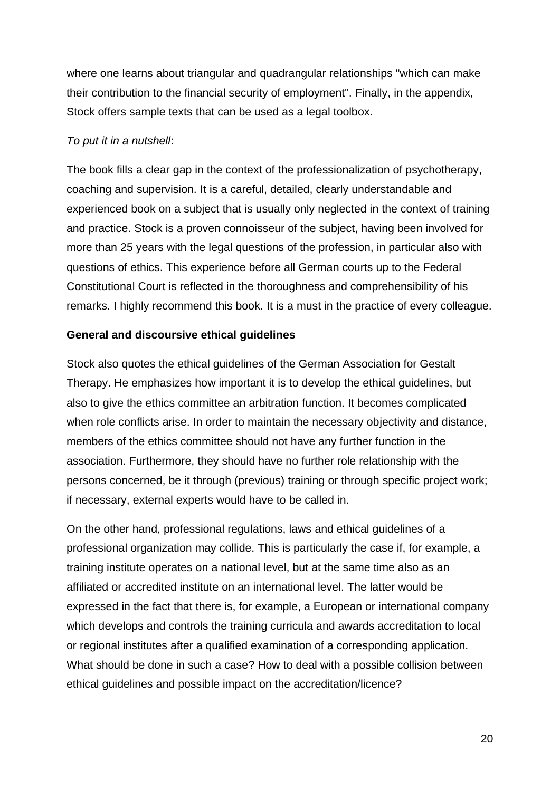where one learns about triangular and quadrangular relationships "which can make their contribution to the financial security of employment". Finally, in the appendix, Stock offers sample texts that can be used as a legal toolbox.

### *To put it in a nutshell*:

The book fills a clear gap in the context of the professionalization of psychotherapy, coaching and supervision. It is a careful, detailed, clearly understandable and experienced book on a subject that is usually only neglected in the context of training and practice. Stock is a proven connoisseur of the subject, having been involved for more than 25 years with the legal questions of the profession, in particular also with questions of ethics. This experience before all German courts up to the Federal Constitutional Court is reflected in the thoroughness and comprehensibility of his remarks. I highly recommend this book. It is a must in the practice of every colleague.

#### **General and discoursive ethical guidelines**

Stock also quotes the ethical guidelines of the German Association for Gestalt Therapy. He emphasizes how important it is to develop the ethical guidelines, but also to give the ethics committee an arbitration function. It becomes complicated when role conflicts arise. In order to maintain the necessary objectivity and distance, members of the ethics committee should not have any further function in the association. Furthermore, they should have no further role relationship with the persons concerned, be it through (previous) training or through specific project work; if necessary, external experts would have to be called in.

On the other hand, professional regulations, laws and ethical guidelines of a professional organization may collide. This is particularly the case if, for example, a training institute operates on a national level, but at the same time also as an affiliated or accredited institute on an international level. The latter would be expressed in the fact that there is, for example, a European or international company which develops and controls the training curricula and awards accreditation to local or regional institutes after a qualified examination of a corresponding application. What should be done in such a case? How to deal with a possible collision between ethical guidelines and possible impact on the accreditation/licence?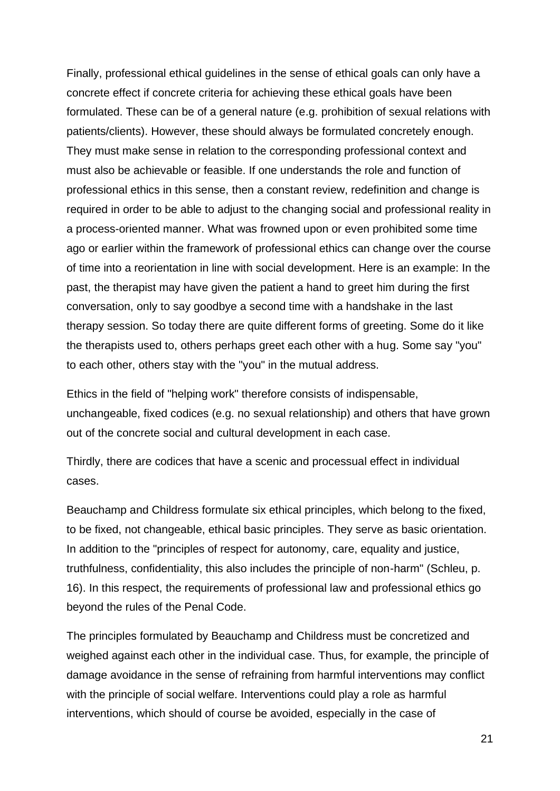Finally, professional ethical guidelines in the sense of ethical goals can only have a concrete effect if concrete criteria for achieving these ethical goals have been formulated. These can be of a general nature (e.g. prohibition of sexual relations with patients/clients). However, these should always be formulated concretely enough. They must make sense in relation to the corresponding professional context and must also be achievable or feasible. If one understands the role and function of professional ethics in this sense, then a constant review, redefinition and change is required in order to be able to adjust to the changing social and professional reality in a process-oriented manner. What was frowned upon or even prohibited some time ago or earlier within the framework of professional ethics can change over the course of time into a reorientation in line with social development. Here is an example: In the past, the therapist may have given the patient a hand to greet him during the first conversation, only to say goodbye a second time with a handshake in the last therapy session. So today there are quite different forms of greeting. Some do it like the therapists used to, others perhaps greet each other with a hug. Some say "you" to each other, others stay with the "you" in the mutual address.

Ethics in the field of "helping work" therefore consists of indispensable, unchangeable, fixed codices (e.g. no sexual relationship) and others that have grown out of the concrete social and cultural development in each case.

Thirdly, there are codices that have a scenic and processual effect in individual cases.

Beauchamp and Childress formulate six ethical principles, which belong to the fixed, to be fixed, not changeable, ethical basic principles. They serve as basic orientation. In addition to the "principles of respect for autonomy, care, equality and justice, truthfulness, confidentiality, this also includes the principle of non-harm" (Schleu, p. 16). In this respect, the requirements of professional law and professional ethics go beyond the rules of the Penal Code.

The principles formulated by Beauchamp and Childress must be concretized and weighed against each other in the individual case. Thus, for example, the principle of damage avoidance in the sense of refraining from harmful interventions may conflict with the principle of social welfare. Interventions could play a role as harmful interventions, which should of course be avoided, especially in the case of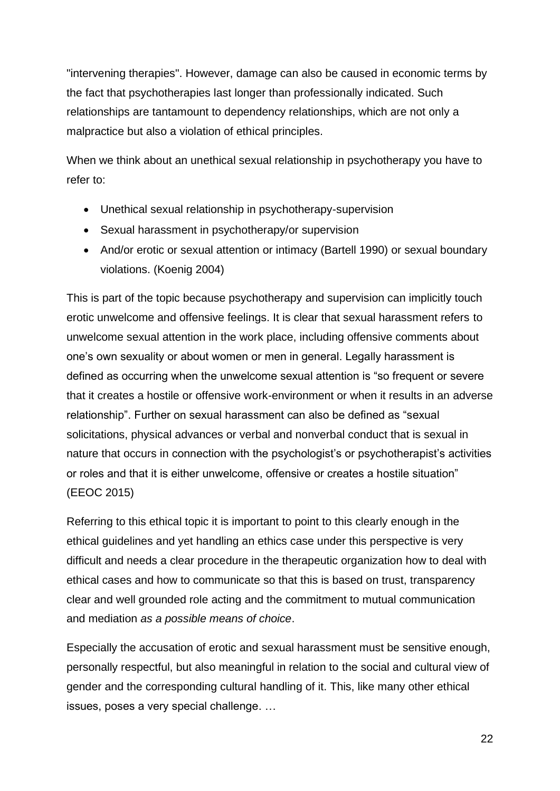"intervening therapies". However, damage can also be caused in economic terms by the fact that psychotherapies last longer than professionally indicated. Such relationships are tantamount to dependency relationships, which are not only a malpractice but also a violation of ethical principles.

When we think about an unethical sexual relationship in psychotherapy you have to refer to:

- Unethical sexual relationship in psychotherapy-supervision
- Sexual harassment in psychotherapy/or supervision
- And/or erotic or sexual attention or intimacy (Bartell 1990) or sexual boundary violations. (Koenig 2004)

This is part of the topic because psychotherapy and supervision can implicitly touch erotic unwelcome and offensive feelings. It is clear that sexual harassment refers to unwelcome sexual attention in the work place, including offensive comments about one's own sexuality or about women or men in general. Legally harassment is defined as occurring when the unwelcome sexual attention is "so frequent or severe that it creates a hostile or offensive work-environment or when it results in an adverse relationship". Further on sexual harassment can also be defined as "sexual solicitations, physical advances or verbal and nonverbal conduct that is sexual in nature that occurs in connection with the psychologist's or psychotherapist's activities or roles and that it is either unwelcome, offensive or creates a hostile situation" (EEOC 2015)

Referring to this ethical topic it is important to point to this clearly enough in the ethical guidelines and yet handling an ethics case under this perspective is very difficult and needs a clear procedure in the therapeutic organization how to deal with ethical cases and how to communicate so that this is based on trust, transparency clear and well grounded role acting and the commitment to mutual communication and mediation *as a possible means of choice*.

Especially the accusation of erotic and sexual harassment must be sensitive enough, personally respectful, but also meaningful in relation to the social and cultural view of gender and the corresponding cultural handling of it. This, like many other ethical issues, poses a very special challenge. …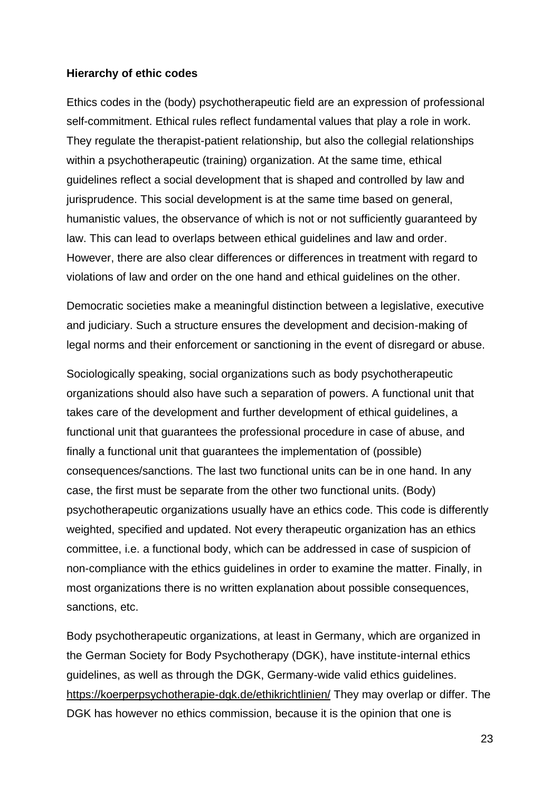#### **Hierarchy of ethic codes**

Ethics codes in the (body) psychotherapeutic field are an expression of professional self-commitment. Ethical rules reflect fundamental values that play a role in work. They regulate the therapist-patient relationship, but also the collegial relationships within a psychotherapeutic (training) organization. At the same time, ethical guidelines reflect a social development that is shaped and controlled by law and jurisprudence. This social development is at the same time based on general, humanistic values, the observance of which is not or not sufficiently guaranteed by law. This can lead to overlaps between ethical guidelines and law and order. However, there are also clear differences or differences in treatment with regard to violations of law and order on the one hand and ethical guidelines on the other.

Democratic societies make a meaningful distinction between a legislative, executive and judiciary. Such a structure ensures the development and decision-making of legal norms and their enforcement or sanctioning in the event of disregard or abuse.

Sociologically speaking, social organizations such as body psychotherapeutic organizations should also have such a separation of powers. A functional unit that takes care of the development and further development of ethical guidelines, a functional unit that guarantees the professional procedure in case of abuse, and finally a functional unit that guarantees the implementation of (possible) consequences/sanctions. The last two functional units can be in one hand. In any case, the first must be separate from the other two functional units. (Body) psychotherapeutic organizations usually have an ethics code. This code is differently weighted, specified and updated. Not every therapeutic organization has an ethics committee, i.e. a functional body, which can be addressed in case of suspicion of non-compliance with the ethics guidelines in order to examine the matter. Finally, in most organizations there is no written explanation about possible consequences, sanctions, etc.

Body psychotherapeutic organizations, at least in Germany, which are organized in the German Society for Body Psychotherapy (DGK), have institute-internal ethics guidelines, as well as through the DGK, Germany-wide valid ethics guidelines. <https://koerperpsychotherapie-dgk.de/ethikrichtlinien/> They may overlap or differ. The DGK has however no ethics commission, because it is the opinion that one is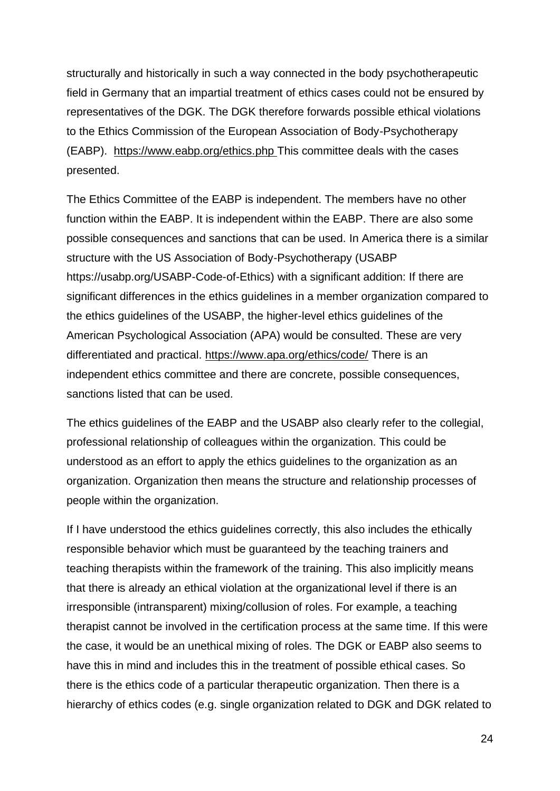structurally and historically in such a way connected in the body psychotherapeutic field in Germany that an impartial treatment of ethics cases could not be ensured by representatives of the DGK. The DGK therefore forwards possible ethical violations to the Ethics Commission of the European Association of Body-Psychotherapy (EABP). <https://www.eabp.org/ethics.php> This committee deals with the cases presented.

The Ethics Committee of the EABP is independent. The members have no other function within the EABP. It is independent within the EABP. There are also some possible consequences and sanctions that can be used. In America there is a similar structure with the US Association of Body-Psychotherapy (USABP https://usabp.org/USABP-Code-of-Ethics) with a significant addition: If there are significant differences in the ethics guidelines in a member organization compared to the ethics guidelines of the USABP, the higher-level ethics guidelines of the American Psychological Association (APA) would be consulted. These are very differentiated and practical.<https://www.apa.org/ethics/code/> There is an independent ethics committee and there are concrete, possible consequences, sanctions listed that can be used.

The ethics guidelines of the EABP and the USABP also clearly refer to the collegial, professional relationship of colleagues within the organization. This could be understood as an effort to apply the ethics guidelines to the organization as an organization. Organization then means the structure and relationship processes of people within the organization.

If I have understood the ethics guidelines correctly, this also includes the ethically responsible behavior which must be guaranteed by the teaching trainers and teaching therapists within the framework of the training. This also implicitly means that there is already an ethical violation at the organizational level if there is an irresponsible (intransparent) mixing/collusion of roles. For example, a teaching therapist cannot be involved in the certification process at the same time. If this were the case, it would be an unethical mixing of roles. The DGK or EABP also seems to have this in mind and includes this in the treatment of possible ethical cases. So there is the ethics code of a particular therapeutic organization. Then there is a hierarchy of ethics codes (e.g. single organization related to DGK and DGK related to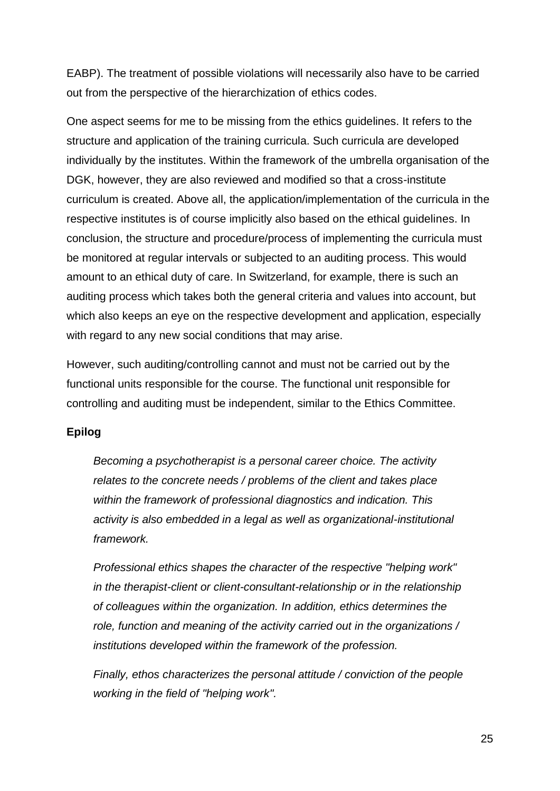EABP). The treatment of possible violations will necessarily also have to be carried out from the perspective of the hierarchization of ethics codes.

One aspect seems for me to be missing from the ethics guidelines. It refers to the structure and application of the training curricula. Such curricula are developed individually by the institutes. Within the framework of the umbrella organisation of the DGK, however, they are also reviewed and modified so that a cross-institute curriculum is created. Above all, the application/implementation of the curricula in the respective institutes is of course implicitly also based on the ethical guidelines. In conclusion, the structure and procedure/process of implementing the curricula must be monitored at regular intervals or subjected to an auditing process. This would amount to an ethical duty of care. In Switzerland, for example, there is such an auditing process which takes both the general criteria and values into account, but which also keeps an eye on the respective development and application, especially with regard to any new social conditions that may arise.

However, such auditing/controlling cannot and must not be carried out by the functional units responsible for the course. The functional unit responsible for controlling and auditing must be independent, similar to the Ethics Committee.

### **Epilog**

*Becoming a psychotherapist is a personal career choice. The activity relates to the concrete needs / problems of the client and takes place within the framework of professional diagnostics and indication. This activity is also embedded in a legal as well as organizational-institutional framework.* 

*Professional ethics shapes the character of the respective "helping work" in the therapist-client or client-consultant-relationship or in the relationship of colleagues within the organization. In addition, ethics determines the role, function and meaning of the activity carried out in the organizations / institutions developed within the framework of the profession.* 

*Finally, ethos characterizes the personal attitude / conviction of the people working in the field of "helping work".*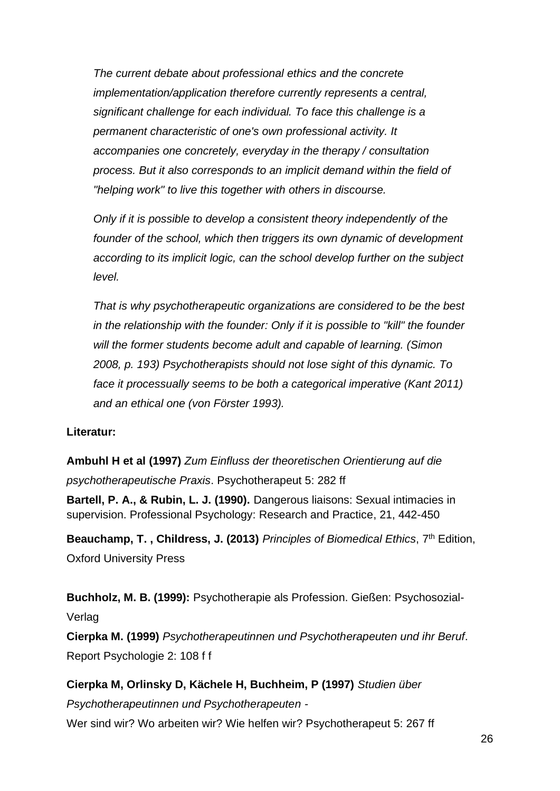*The current debate about professional ethics and the concrete implementation/application therefore currently represents a central, significant challenge for each individual. To face this challenge is a permanent characteristic of one's own professional activity. It accompanies one concretely, everyday in the therapy / consultation process. But it also corresponds to an implicit demand within the field of "helping work" to live this together with others in discourse.*

*Only if it is possible to develop a consistent theory independently of the founder of the school, which then triggers its own dynamic of development according to its implicit logic, can the school develop further on the subject level.* 

*That is why psychotherapeutic organizations are considered to be the best in the relationship with the founder: Only if it is possible to "kill" the founder will the former students become adult and capable of learning. (Simon 2008, p. 193) Psychotherapists should not lose sight of this dynamic. To face it processually seems to be both a categorical imperative (Kant 2011) and an ethical one (von Förster 1993).*

### **Literatur:**

**Ambuhl H et al (1997)** *Zum Einfluss der theoretischen Orientierung auf die psychotherapeutische Praxis*. Psychotherapeut 5: 282 ff

**Bartell, P. A., & Rubin, L. J. (1990).** Dangerous liaisons: Sexual intimacies in supervision. Professional Psychology: Research and Practice, 21, 442-450

**Beauchamp, T. , Childress, J. (2013)** *Principles of Biomedical Ethics*, 7th Edition, Oxford University Press

**Buchholz, M. B. (1999):** Psychotherapie als Profession. Gießen: Psychosozial-Verlag

**Cierpka M. (1999)** *Psychotherapeutinnen und Psychotherapeuten und ihr Beruf*. Report Psychologie 2: 108 f f

**Cierpka M, Orlinsky D, Kächele H, Buchheim, P (1997)** *Studien über Psychotherapeutinnen und Psychotherapeuten -* Wer sind wir? Wo arbeiten wir? Wie helfen wir? Psychotherapeut 5: 267 ff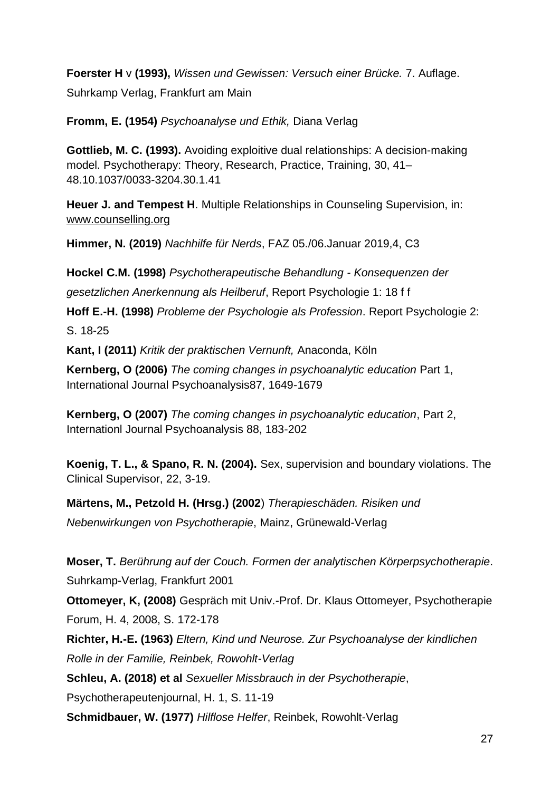**Foerster H** v **(1993),** *Wissen und Gewissen: Versuch einer Brücke.* 7. Auflage.

Suhrkamp Verlag, Frankfurt am Main

**Fromm, E. (1954)** *Psychoanalyse und Ethik,* Diana Verlag

**Gottlieb, M. C. (1993).** Avoiding exploitive dual relationships: A decision-making model. Psychotherapy: Theory, Research, Practice, Training, 30, 41– 48.10.1037/0033-3204.30.1.41

**Heuer J. and Tempest H**. Multiple Relationships in Counseling Supervision, in: [www.counselling.org](http://www.counselling.org/)

**Himmer, N. (2019)** *Nachhilfe für Nerds*, FAZ 05./06.Januar 2019,4, C3

**Hockel C.M. (1998)** *Psychotherapeutische Behandlung - Konsequenzen der gesetzlichen Anerkennung als Heilberuf*, Report Psychologie 1: 18 f f

**Hoff E.-H. (1998)** *Probleme der Psychologie als Profession*. Report Psychologie 2: S. 18-25

**Kant, I (2011)** *Kritik der praktischen Vernunft,* Anaconda, Köln

**Kernberg, O (2006)** *The coming changes in psychoanalytic education* Part 1, International Journal Psychoanalysis87, 1649-1679

**Kernberg, O (2007)** *The coming changes in psychoanalytic education*, Part 2, Internationl Journal Psychoanalysis 88, 183-202

**Koenig, T. L., & Spano, R. N. (2004).** Sex, supervision and boundary violations. The Clinical Supervisor, 22, 3-19.

**Märtens, M., Petzold H. (Hrsg.) (2002**) *Therapieschäden. Risiken und* 

*Nebenwirkungen von Psychotherapie*, Mainz, Grünewald-Verlag

**Moser, T.** *Berührung auf der Couch. Formen der analytischen Körperpsychotherapie*. Suhrkamp-Verlag, Frankfurt 2001

**Ottomeyer, K, (2008)** Gespräch mit Univ.-Prof. Dr. Klaus Ottomeyer, Psychotherapie Forum, H. 4, 2008, S. 172-178

**Richter, H.-E. (1963)** *Eltern, Kind und Neurose. Zur Psychoanalyse der kindlichen Rolle in der Familie, Reinbek, Rowohlt-Verlag*

**Schleu, A. (2018) et al** *Sexueller Missbrauch in der Psychotherapie*,

Psychotherapeutenjournal, H. 1, S. 11-19

**Schmidbauer, W. (1977)** *Hilflose Helfer*, Reinbek, Rowohlt-Verlag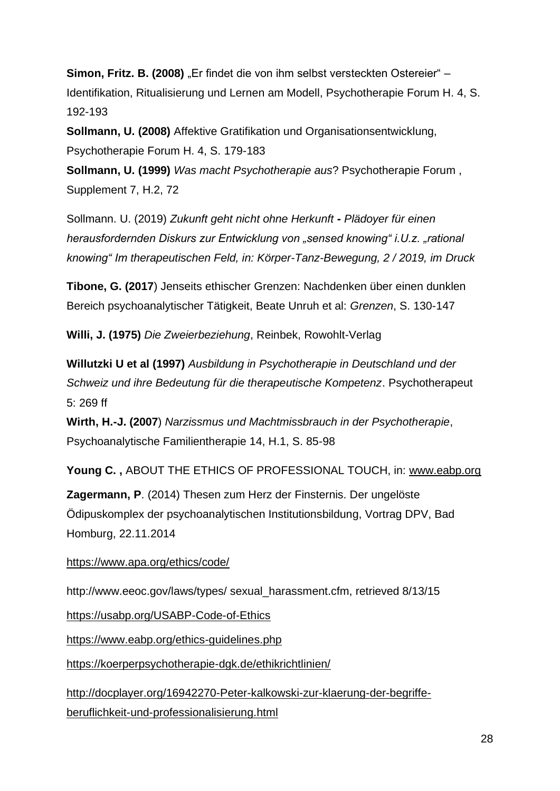**Simon, Fritz. B. (2008)** "Er findet die von ihm selbst versteckten Ostereier" – Identifikation, Ritualisierung und Lernen am Modell, Psychotherapie Forum H. 4, S. 192-193

**Sollmann, U. (2008)** Affektive Gratifikation und Organisationsentwicklung, Psychotherapie Forum H. 4, S. 179-183

**Sollmann, U. (1999)** *Was macht Psychotherapie aus*? Psychotherapie Forum , Supplement 7, H.2, 72

Sollmann. U. (2019) *Zukunft geht nicht ohne Herkunft - Plädoyer für einen herausfordernden Diskurs zur Entwicklung von "sensed knowing" i.U.z. "rational knowing" Im therapeutischen Feld, in: Körper-Tanz-Bewegung, 2 / 2019, im Druck*

**Tibone, G. (2017**) Jenseits ethischer Grenzen: Nachdenken über einen dunklen Bereich psychoanalytischer Tätigkeit, Beate Unruh et al: *Grenzen*, S. 130-147

**Willi, J. (1975)** *Die Zweierbeziehung*, Reinbek, Rowohlt-Verlag

**Willutzki U et al (1997)** *Ausbildung in Psychotherapie in Deutschland und der Schweiz und ihre Bedeutung für die therapeutische Kompetenz*. Psychotherapeut 5: 269 ff

**Wirth, H.-J. (2007**) *Narzissmus und Machtmissbrauch in der Psychotherapie*, Psychoanalytische Familientherapie 14, H.1, S. 85-98

**Young C. ,** ABOUT THE ETHICS OF PROFESSIONAL TOUCH, in: [www.eabp.org](http://www.eabp.org/)

**Zagermann, P**. (2014) Thesen zum Herz der Finsternis. Der ungelöste Ödipuskomplex der psychoanalytischen Institutionsbildung, Vortrag DPV, Bad Homburg, 22.11.2014

### <https://www.apa.org/ethics/code/>

http://www.eeoc.gov/laws/types/ sexual\_harassment.cfm, retrieved 8/13/15

<https://usabp.org/USABP-Code-of-Ethics>

<https://www.eabp.org/ethics-guidelines.php>

<https://koerperpsychotherapie-dgk.de/ethikrichtlinien/>

[http://docplayer.org/16942270-Peter-kalkowski-zur-klaerung-der-begriffe](http://docplayer.org/16942270-Peter-kalkowski-zur-klaerung-der-begriffe-beruflichkeit-und-professionalisierung.html)[beruflichkeit-und-professionalisierung.html](http://docplayer.org/16942270-Peter-kalkowski-zur-klaerung-der-begriffe-beruflichkeit-und-professionalisierung.html)